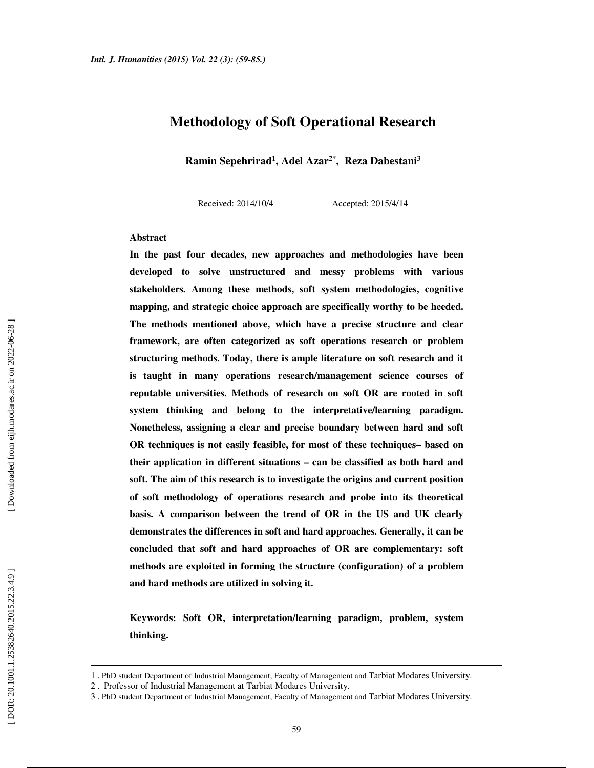### **Methodology of Soft Operational Research**

**Ramin Sepehrirad 1 , Adel Azar2\*, Reza Dabestani 3**

Received: 2014/10/4 Accepted: 2015/4/14

#### **Abstract**

**In the past four decades, new approaches and methodologies have been developed to solve unstructured and messy problems with various stakeholders. Among these methods, soft system methodologies, cognitive mapping, and strategic choice approach are specifically worthy to be heeded. The methods mentioned above, which have a precise structure and clear framework, are often categorized as soft operations research or problem structuring methods. Today, there is ample literature on soft research and it is taught in many operations research/management science courses of reputable universities. Methods of research on soft OR are rooted in soft system thinking and belong to the interpretative/learning paradigm. Nonetheless, assigning a clear and precise boundary between hard and soft OR techniques is not easily feasible, for most of these techniques– based on their application in different situations – can be classified as both hard and soft. The aim of this research is to investigate the origins and current position of soft methodology of operations research and probe into its theoretical basis. A comparison between the trend of OR in the US and UK clearly demonstrates the differences in soft and hard approaches. Generally, it can be concluded that soft and hard approaches of OR are complementary: soft methods are exploited in forming the structure (configuration) of a problem and hard methods are utilized in solving it.** 

**Keywords: Soft OR, interpretation/learning paradigm, problem, system thinking.**

 $\overline{a}$ 

<sup>1 .</sup> PhD student Department of Industrial Management, Faculty of Management and Tarbiat Modares University.

<sup>2 .</sup> Professor of Industrial Management at Tarbiat Modares University.

<sup>3 .</sup> PhD student Department of Industrial Management, Faculty of Management and Tarbiat Modares University.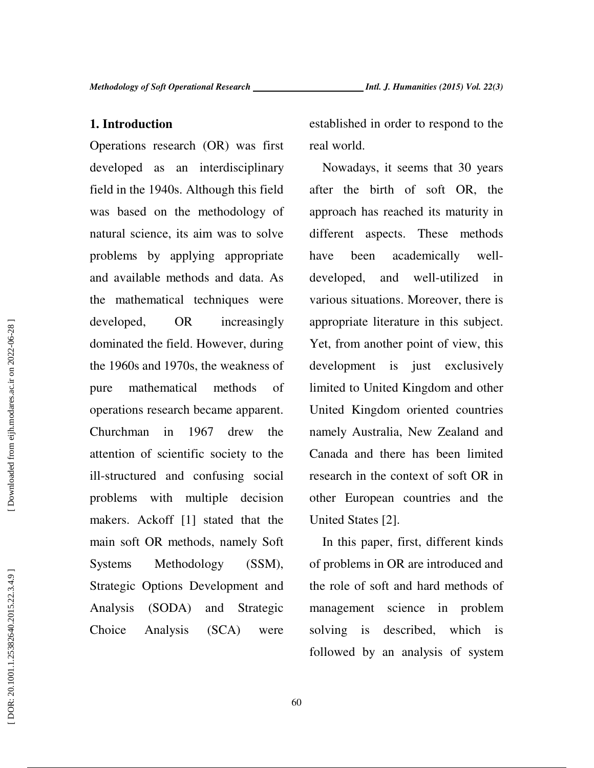#### **1. Introduction**

Operations research (OR) was first developed as an interdisciplinary field in the 1940s. Although this field was based on the methodology of natural science, its aim was to solve problems by applying appropriate and available methods and data. As the mathematical techniques were developed, OR increasingly dominated the field. However, during the 1960s and 1970s, the weakness of pure mathematical methods of operations research became apparent. Churchman in 1967 drew the attention of scientific society to the ill-structured and confusing social problems with multiple decision makers. Ackoff [1] stated that the main soft OR methods, namely Soft Systems Methodology (SSM), Strategic Options Development and Analysis (SODA) and Strategic Choice Analysis (SCA) were

established in order to respond to the real world.

Nowadays, it seems that 30 years after the birth of soft OR, the approach has reached its maturity in different aspects. These methods have been academically welldeveloped, and well-utilized in various situations. Moreover, there is appropriate literature in this subject. Yet, from another point of view, this development is just exclusively limited to United Kingdom and other United Kingdom oriented countries namely Australia, New Zealand and Canada and there has been limited research in the context of soft OR in other European countries and the United States [2].

In this paper, first, different kinds of problems in OR are introduced and the role of soft and hard methods of management science in problem solving is described, which is followed by an analysis of system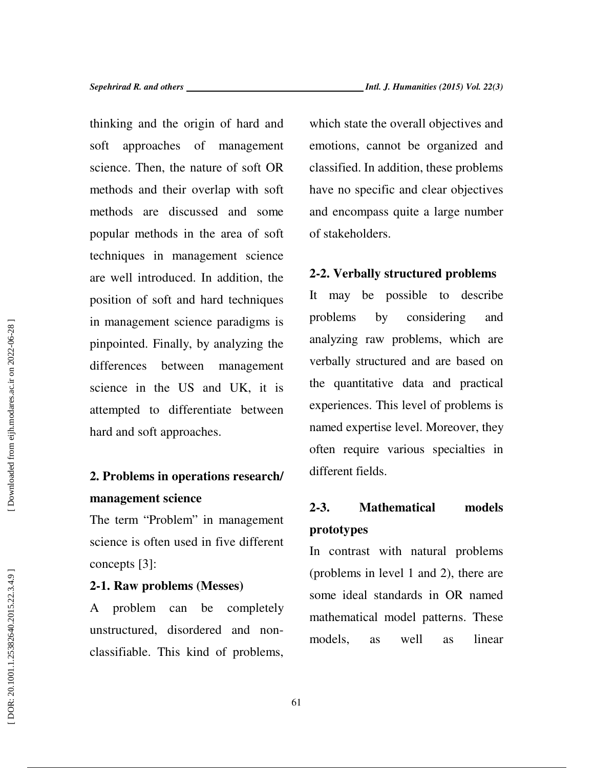thinking and the origin of hard and soft approaches of management science. Then, the nature of soft OR methods and their overlap with soft methods are discussed and some popular methods in the area of soft techniques in management science are well introduced. In addition, the position of soft and hard techniques in management science paradigms is pinpointed. Finally, by analyzing the differences between management science in the US and UK, it is attempted to differentiate between hard and soft approaches.

### **2. Problems in operations research/ management science**

The term "Problem" in management science is often used in five different concepts [3]:

### **2-1. Raw problems (Messes)**

A problem can be completely unstructured, disordered and nonclassifiable. This kind of problems,

which state the overall objectives and emotions, cannot be organized and classified. In addition, these problems have no specific and clear objectives and encompass quite a large number of stakeholders.

### **2-2. Verbally structured problems**

It may be possible to describe problems by considering and analyzing raw problems, which are verbally structured and are based on the quantitative data and practical experiences. This level of problems is named expertise level. Moreover, they often require various specialties in different fields.

## **2-3. Mathematical models prototypes**

In contrast with natural problems (problems in level 1 and 2), there are some ideal standards in OR named mathematical model patterns. These models, as well as linear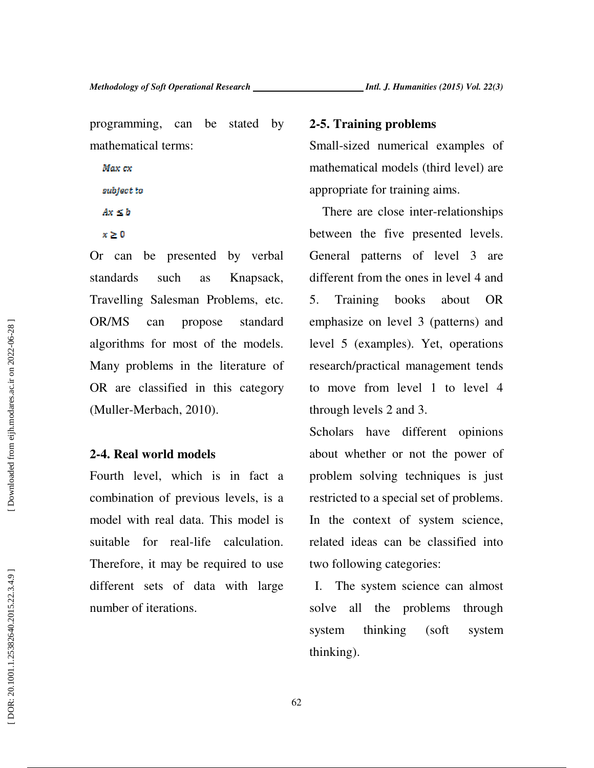programming, can be stated by mathematical terms:

Max ex subject to

 $Ax \leq b$  $x \geq 0$ 

Or can be presented by verbal standards such as Knapsack, Travelling Salesman Problems, etc. OR/MS can propose standard algorithms for most of the models. Many problems in the literature of OR are classified in this category (Muller-Merbach, 2010).

### **2-4. Real world models**

Fourth level, which is in fact a combination of previous levels, is a model with real data. This model is suitable for real-life calculation. Therefore, it may be required to use different sets of data with large number of iterations.

### **2-5. Training problems**

Small-sized numerical examples of mathematical models (third level) are appropriate for training aims.

There are close inter-relationships between the five presented levels. General patterns of level 3 are different from the ones in level 4 and 5. Training books about OR emphasize on level 3 (patterns) and level 5 (examples). Yet, operations research/practical management tends to move from level 1 to level 4 through levels 2 and 3.

Scholars have different opinions about whether or not the power of problem solving techniques is just restricted to a special set of problems. In the context of system science, related ideas can be classified into two following categories:

I. The system science can almost solve all the problems through system thinking (soft system thinking).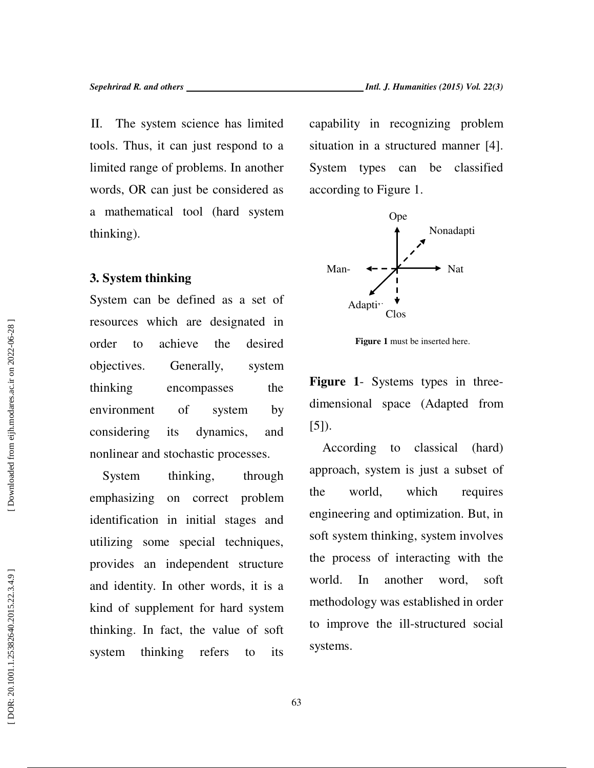II. The system science has limited tools. Thus, it can just respond to a limited range of problems. In another words, OR can just be considered as a mathematical tool (hard system thinking).

### **3. System thinking**

System can be defined as a set of resources which are designated in order to achieve the desired objectives. Generally, system thinking encompasses the environment of system by considering its dynamics, and nonlinear and stochastic processes.

System thinking, through emphasizing on correct problem identification in initial stages and utilizing some special techniques, provides an independent structure and identity. In other words, it is a kind of supplement for hard system thinking. In fact, the value of soft system thinking refers to its

capability in recognizing problem situation in a structured manner [4]. System types can be classified



according to Figure 1.

**Figure 1** must be inserted here.

**Figure 1**- Systems types in threedimensional space (Adapted from [5]).

According to classical (hard) approach, system is just a subset of the world, which requires engineering and optimization. But, in soft system thinking, system involves the process of interacting with the world. In another word, soft methodology was established in order to improve the ill-structured social systems.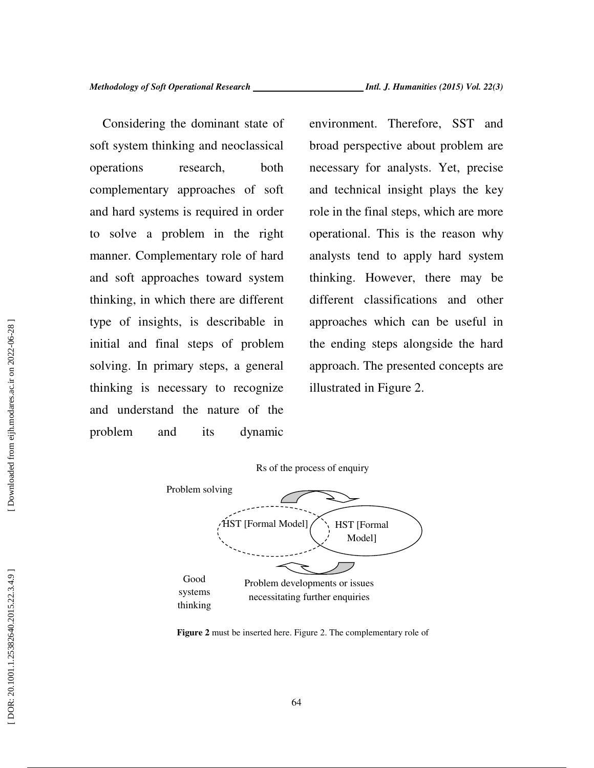Considering the dominant state of soft system thinking and neoclassical operations research, both complementary approaches of soft and hard systems is required in order to solve a problem in the right manner. Complementary role of hard and soft approaches toward system thinking, in which there are different type of insights, is describable in initial and final steps of problem solving. In primary steps, a general thinking is necessary to recognize and understand the nature of the problem and its dynamic

environment. Therefore, SST and broad perspective about problem are necessary for analysts. Yet, precise and technical insight plays the key role in the final steps, which are more operational. This is the reason why analysts tend to apply hard system thinking. However, there may be different classifications and other approaches which can be useful in the ending steps alongside the hard approach. The presented concepts are illustrated in Figure 2.



**Figure 2** must be inserted here. Figure 2. The complementary role of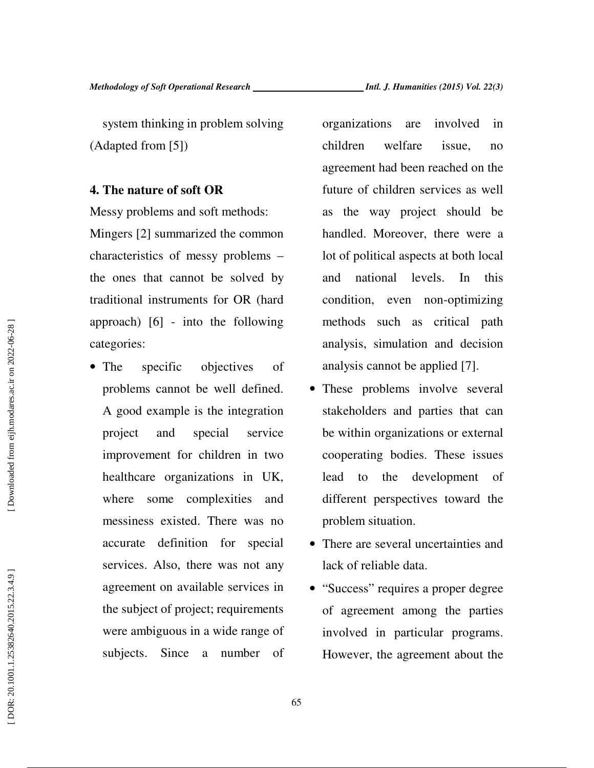system thinking in problem solving (Adapted from [5])

#### **4. The nature of soft OR**

Messy problems and soft methods: Mingers [2] summarized the common characteristics of messy problems – the ones that cannot be solved by traditional instruments for OR (hard approach) [6] - into the following categories:

• The specific objectives of problems cannot be well defined. A good example is the integration project and special service improvement for children in two healthcare organizations in UK, where some complexities and messiness existed. There was no accurate definition for special services. Also, there was not any agreement on available services in the subject of project; requirements were ambiguous in a wide range of subjects. Since a number of

organizations are involved in children welfare issue, no agreement had been reached on the future of children services as well as the way project should be handled. Moreover, there were a lot of political aspects at both local and national levels. In this condition, even non-optimizing methods such as critical path analysis, simulation and decision analysis cannot be applied [7].

- These problems involve several stakeholders and parties that can be within organizations or external cooperating bodies. These issues lead to the development of different perspectives toward the problem situation.
- There are several uncertainties and lack of reliable data.
- "Success" requires a proper degree of agreement among the parties involved in particular programs. However, the agreement about the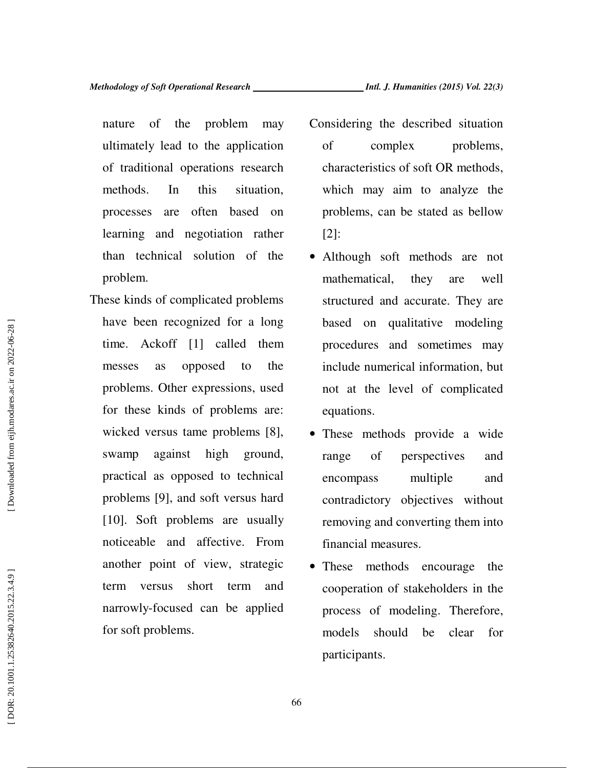nature of the problem may ultimately lead to the application of traditional operations research methods. In this situation, processes are often based on learning and negotiation rather than technical solution of the problem.

- These kinds of complicated problems have been recognized for a long time. Ackoff [1] called them messes as opposed to the problems. Other expressions, used for these kinds of problems are: wicked versus tame problems [8], swamp against high ground, practical as opposed to technical problems [9], and soft versus hard [10]. Soft problems are usually noticeable and affective. From another point of view, strategic term versus short term and narrowly-focused can be applied for soft problems.
- Considering the described situation of complex problems, characteristics of soft OR methods, which may aim to analyze the problems, can be stated as bellow [2]:
- Although soft methods are not mathematical, they are well structured and accurate. They are based on qualitative modeling procedures and sometimes may include numerical information, but not at the level of complicated equations.
- These methods provide a wide range of perspectives and encompass multiple and contradictory objectives without removing and converting them into financial measures.
- These methods encourage the cooperation of stakeholders in the process of modeling. Therefore, models should be clear for participants.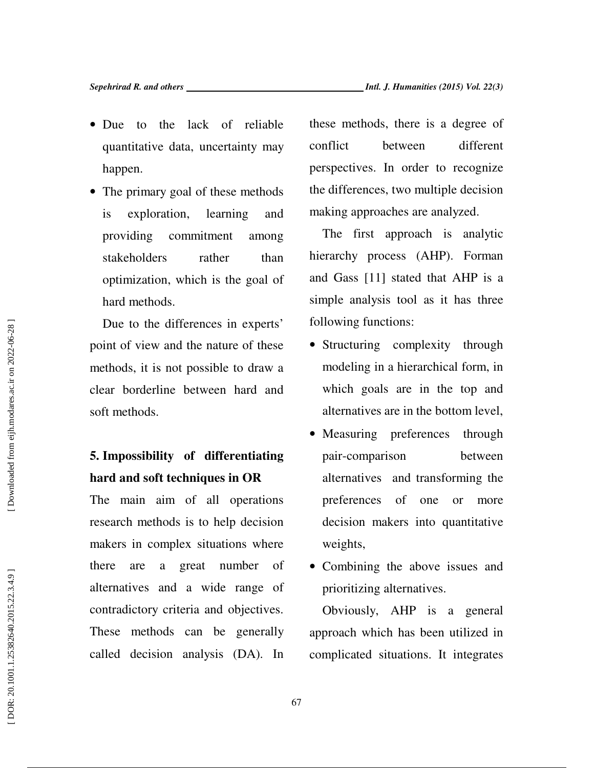- Due to the lack of reliable quantitative data, uncertainty may happen.
- The primary goal of these methods is exploration, learning and providing commitment among stakeholders rather than optimization, which is the goal of hard methods.

Due to the differences in experts' point of view and the nature of these methods, it is not possible to draw a clear borderline between hard and soft methods.

## **5. Impossibility of differentiating hard and soft techniques in OR**

The main aim of all operations research methods is to help decision makers in complex situations where there are a great number of alternatives and a wide range of contradictory criteria and objectives. These methods can be generally called decision analysis (DA). In these methods, there is a degree of conflict between different perspectives. In order to recognize the differences, two multiple decision making approaches are analyzed.

The first approach is analytic hierarchy process (AHP). Forman and Gass [11] stated that AHP is a simple analysis tool as it has three following functions:

- Structuring complexity through modeling in a hierarchical form, in which goals are in the top and alternatives are in the bottom level,
- Measuring preferences through pair-comparison between alternatives and transforming the preferences of one or more decision makers into quantitative weights,
- Combining the above issues and prioritizing alternatives.

Obviously, AHP is a general approach which has been utilized in complicated situations. It integrates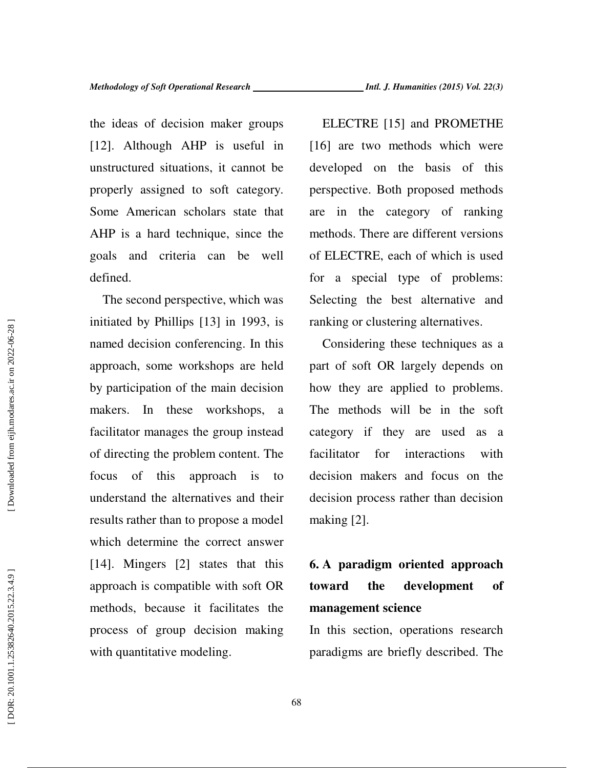the ideas of decision maker groups [12]. Although AHP is useful in unstructured situations, it cannot be properly assigned to soft category. Some American scholars state that AHP is a hard technique, since the goals and criteria can be well defined.

The second perspective, which was initiated by Phillips [13] in 1993, is named decision conferencing. In this approach, some workshops are held by participation of the main decision makers. In these workshops, a facilitator manages the group instead of directing the problem content. The focus of this approach is to understand the alternatives and their results rather than to propose a model which determine the correct answer [14]. Mingers [2] states that this approach is compatible with soft OR methods, because it facilitates the process of group decision making with quantitative modeling.

ELECTRE [15] and PROMETHE [16] are two methods which were developed on the basis of this perspective. Both proposed methods are in the category of ranking methods. There are different versions of ELECTRE, each of which is used for a special type of problems: Selecting the best alternative and ranking or clustering alternatives.

Considering these techniques as a part of soft OR largely depends on how they are applied to problems. The methods will be in the soft category if they are used as a facilitator for interactions with decision makers and focus on the decision process rather than decision making [2].

## **6. A paradigm oriented approach toward the development of management science**

In this section, operations research paradigms are briefly described. The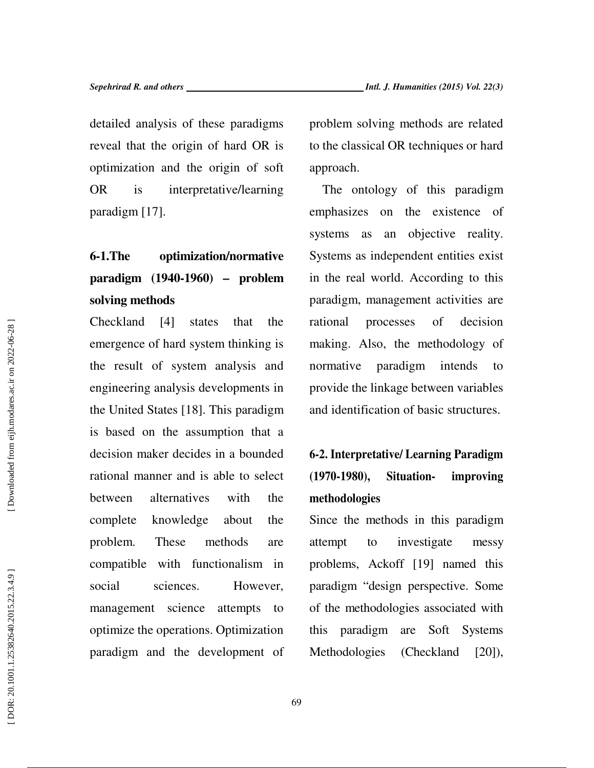detailed analysis of these paradigms reveal that the origin of hard OR is optimization and the origin of soft OR is interpretative/learning paradigm [17].

# **6-1.The optimization/normative paradigm (1940-1960) – problem solving methods**

Checkland [4] states that the emergence of hard system thinking is the result of system analysis and engineering analysis developments in the United States [18]. This paradigm is based on the assumption that a decision maker decides in a bounded rational manner and is able to select between alternatives with the complete knowledge about the problem. These methods are compatible with functionalism in social sciences. However, management science attempts to optimize the operations. Optimization paradigm and the development of problem solving methods are related to the classical OR techniques or hard approach.

The ontology of this paradigm emphasizes on the existence of systems as an objective reality. Systems as independent entities exist in the real world. According to this paradigm, management activities are rational processes of decision making. Also, the methodology of normative paradigm intends to provide the linkage between variables and identification of basic structures.

## **6-2. Interpretative/ Learning Paradigm (1970-1980), Situation- improving methodologies**

Since the methods in this paradigm attempt to investigate messy problems, Ackoff [19] named this paradigm "design perspective. Some of the methodologies associated with this paradigm are Soft Systems Methodologies (Checkland [20]),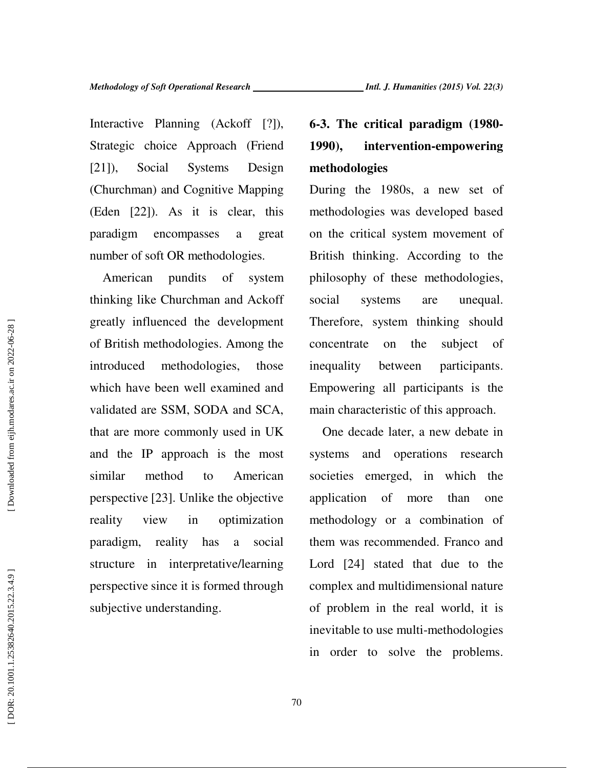Interactive Planning (Ackoff [?]), Strategic choice Approach (Friend [21]), Social Systems Design (Churchman) and Cognitive Mapping (Eden [22]). As it is clear, this paradigm encompasses a great number of soft OR methodologies.

American pundits of system thinking like Churchman and Ackoff greatly influenced the development of British methodologies. Among the introduced methodologies, those which have been well examined and validated are SSM, SODA and SCA, that are more commonly used in UK and the IP approach is the most similar method to American perspective [23]. Unlike the objective reality view in optimization paradigm, reality has a social structure in interpretative/learning perspective since it is formed through subjective understanding.

# **6-3. The critical paradigm (1980- 1990), intervention-empowering methodologies**

During the 1980s, a new set of methodologies was developed based on the critical system movement of British thinking. According to the philosophy of these methodologies, social systems are unequal. Therefore, system thinking should concentrate on the subject of inequality between participants. Empowering all participants is the main characteristic of this approach.

One decade later, a new debate in systems and operations research societies emerged, in which the application of more than one methodology or a combination of them was recommended. Franco and Lord [24] stated that due to the complex and multidimensional nature of problem in the real world, it is inevitable to use multi-methodologies in order to solve the problems.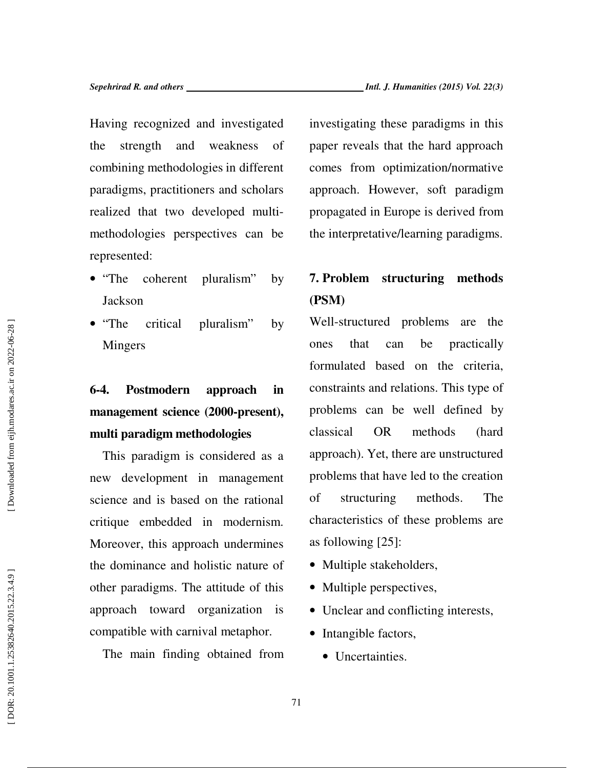Having recognized and investigated the strength and weakness of combining methodologies in different paradigms, practitioners and scholars realized that two developed multimethodologies perspectives can be represented:

- "The coherent pluralism" by Jackson
- "The critical pluralism" by Mingers

# **6-4. Postmodern approach in management science (2000-present), multi paradigm methodologies**

This paradigm is considered as a new development in management science and is based on the rational critique embedded in modernism. Moreover, this approach undermines the dominance and holistic nature of other paradigms. The attitude of this approach toward organization is compatible with carnival metaphor.

The main finding obtained from

investigating these paradigms in this paper reveals that the hard approach comes from optimization/normative approach. However, soft paradigm propagated in Europe is derived from the interpretative/learning paradigms.

## **7. Problem structuring methods (PSM)**

Well-structured problems are the ones that can be practically formulated based on the criteria, constraints and relations. This type of problems can be well defined by classical OR methods (hard approach). Yet, there are unstructured problems that have led to the creation of structuring methods. The characteristics of these problems are as following [25]:

- Multiple stakeholders,
- Multiple perspectives,
- Unclear and conflicting interests,
- Intangible factors,
	- Uncertainties.

Downloaded from eijh.modares.ac.ir on 2022-06-28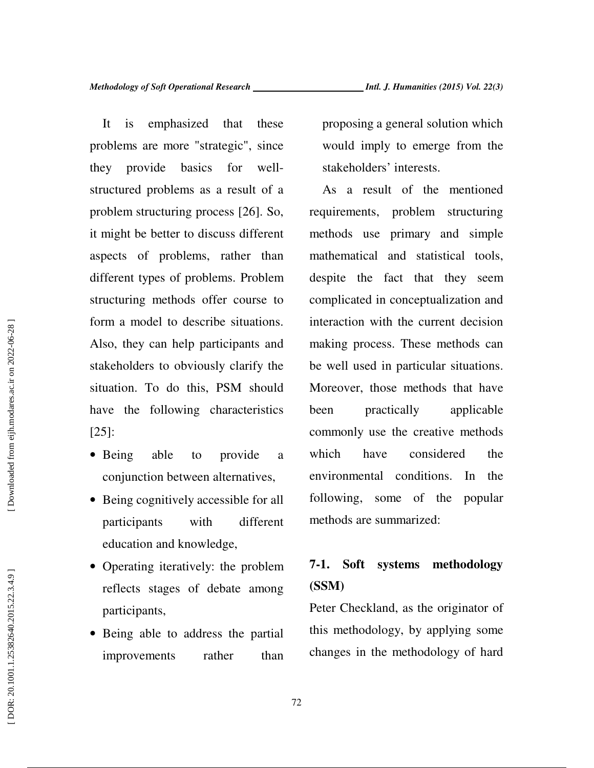It is emphasized that these problems are more "strategic", since they provide basics for wellstructured problems as a result of a problem structuring process [26]. So, it might be better to discuss different aspects of problems, rather than different types of problems. Problem structuring methods offer course to form a model to describe situations. Also, they can help participants and stakeholders to obviously clarify the situation. To do this, PSM should have the following characteristics [25]:

- Being able to provide a conjunction between alternatives,
- Being cognitively accessible for all participants with different education and knowledge,
- Operating iteratively: the problem reflects stages of debate among participants,
- Being able to address the partial improvements rather than

proposing a general solution which would imply to emerge from the stakeholders' interests.

As a result of the mentioned requirements, problem structuring methods use primary and simple mathematical and statistical tools, despite the fact that they seem complicated in conceptualization and interaction with the current decision making process. These methods can be well used in particular situations. Moreover, those methods that have been practically applicable commonly use the creative methods which have considered the environmental conditions. In the following, some of the popular methods are summarized:

## **7-1. Soft systems methodology (SSM)**

Peter Checkland, as the originator of this methodology, by applying some changes in the methodology of hard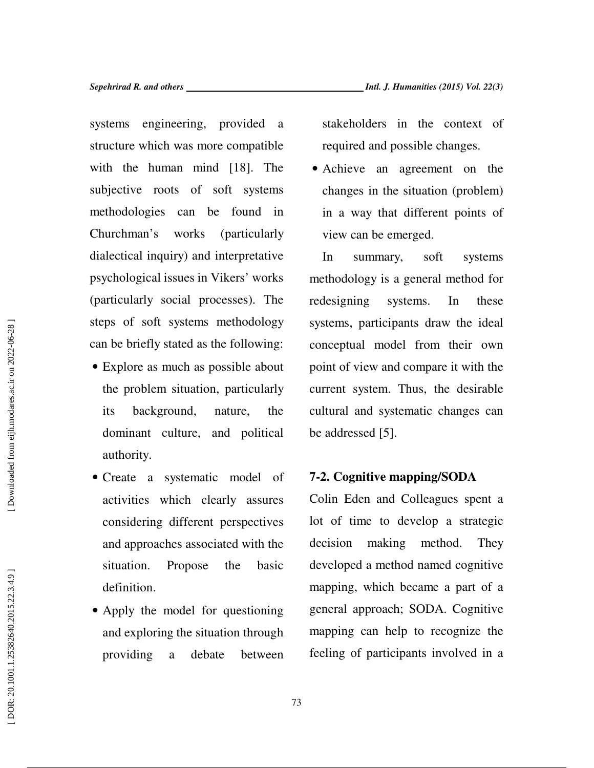systems engineering, provided a structure which was more compatible with the human mind [18]. The subjective roots of soft systems methodologies can be found in Churchman's works (particularly dialectical inquiry) and interpretative psychological issues in Vikers' works (particularly social processes). The steps of soft systems methodology can be briefly stated as the following:

- Explore as much as possible about the problem situation, particularly its background, nature, the dominant culture, and political authority.
- Create a systematic model of activities which clearly assures considering different perspectives and approaches associated with the situation. Propose the basic definition.
- Apply the model for questioning and exploring the situation through providing a debate between

stakeholders in the context of required and possible changes.

• Achieve an agreement on the changes in the situation (problem) in a way that different points of view can be emerged.

In summary, soft systems methodology is a general method for redesigning systems. In these systems, participants draw the ideal conceptual model from their own point of view and compare it with the current system. Thus, the desirable cultural and systematic changes can be addressed [5].

### **7-2. Cognitive mapping/SODA**

Colin Eden and Colleagues spent a lot of time to develop a strategic decision making method. They developed a method named cognitive mapping, which became a part of a general approach; SODA. Cognitive mapping can help to recognize the feeling of participants involved in a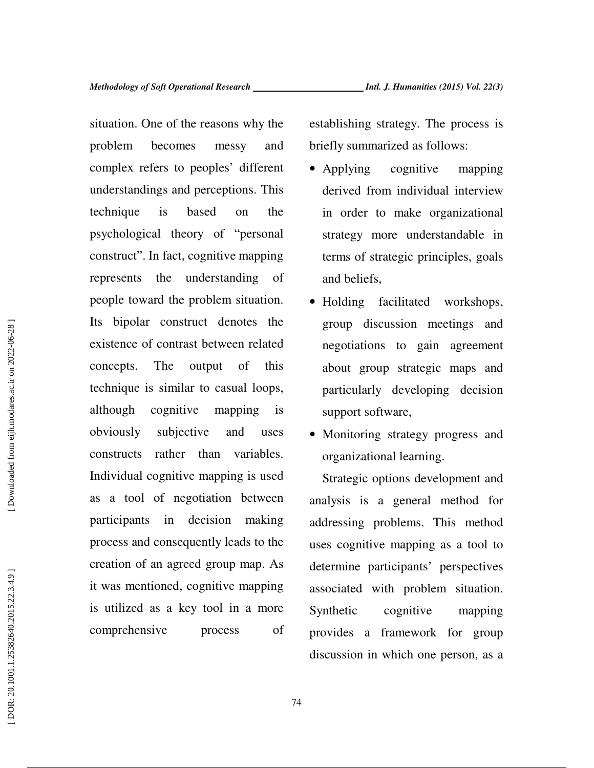situation. One of the reasons why the problem becomes messy and complex refers to peoples' different understandings and perceptions. This technique is based on the psychological theory of "personal construct". In fact, cognitive mapping represents the understanding of people toward the problem situation. Its bipolar construct denotes the existence of contrast between related concepts. The output of this technique is similar to casual loops, although cognitive mapping is obviously subjective and uses constructs rather than variables. Individual cognitive mapping is used as a tool of negotiation between participants in decision making process and consequently leads to the creation of an agreed group map. As it was mentioned, cognitive mapping is utilized as a key tool in a more comprehensive process of establishing strategy. The process is briefly summarized as follows:

- Applying cognitive mapping derived from individual interview in order to make organizational strategy more understandable in terms of strategic principles, goals and beliefs,
- Holding facilitated workshops, group discussion meetings and negotiations to gain agreement about group strategic maps and particularly developing decision support software,
- Monitoring strategy progress and organizational learning.

Strategic options development and analysis is a general method for addressing problems. This method uses cognitive mapping as a tool to determine participants' perspectives associated with problem situation. Synthetic cognitive mapping provides a framework for group discussion in which one person, as a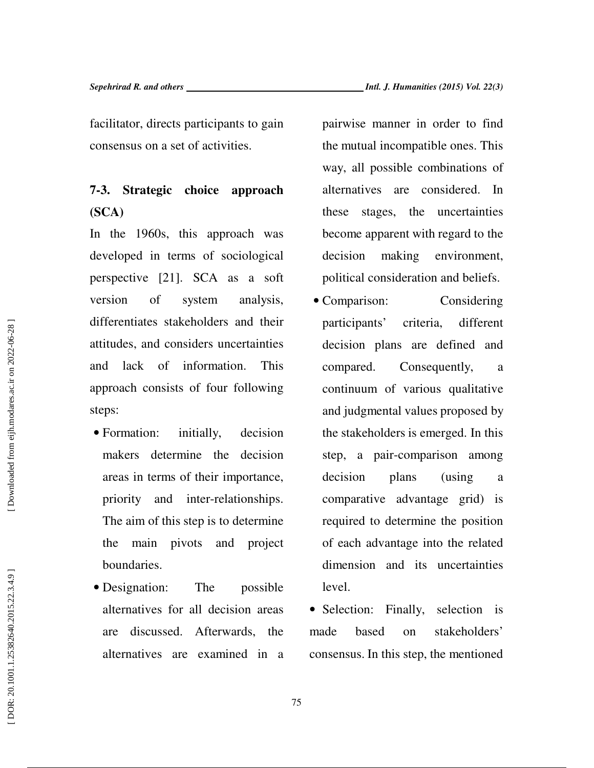facilitator, directs participants to gain consensus on a set of activities.

## **7-3. Strategic choice approach (SCA)**

In the 1960s, this approach was developed in terms of sociological perspective [21]. SCA as a soft version of system analysis, differentiates stakeholders and their attitudes, and considers uncertainties and lack of information. This approach consists of four following steps:

- Formation: initially, decision makers determine the decision areas in terms of their importance, priority and inter-relationships. The aim of this step is to determine the main pivots and project boundaries.
- Designation: The possible alternatives for all decision areas are discussed. Afterwards, the alternatives are examined in a

pairwise manner in order to find the mutual incompatible ones. This way, all possible combinations of alternatives are considered. In these stages, the uncertainties become apparent with regard to the decision making environment, political consideration and beliefs.

• Comparison: Considering participants' criteria, different decision plans are defined and compared. Consequently, a continuum of various qualitative and judgmental values proposed by the stakeholders is emerged. In this step, a pair-comparison among decision plans (using a comparative advantage grid) is required to determine the position of each advantage into the related dimension and its uncertainties level.

• Selection: Finally, selection is made based on stakeholders' consensus. In this step, the mentioned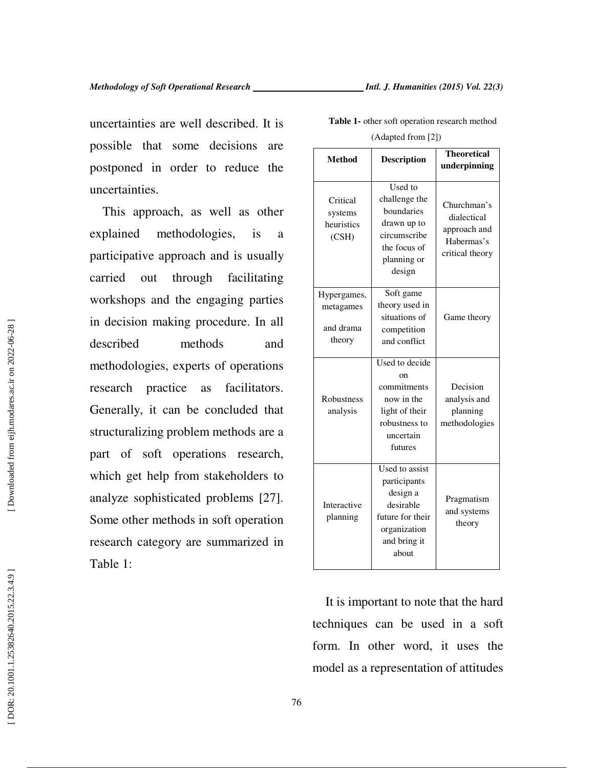uncertainties are well described. It is possible that some decisions are postponed in order to reduce the uncertainties.

This approach, as well as other explained methodologies, is a participative approach and is usually carried out through facilitating workshops and the engaging parties in decision making procedure. In all described methods and methodologies, experts of operations research practice as facilitators. Generally, it can be concluded that structuralizing problem methods are a part of soft operations research, which get help from stakeholders to analyze sophisticated problems [27]. Some other methods in soft operation research category are summarized in Table 1:

**Theoretical**  Method **Description** underpinning Churchman's dialectical approach and Habermas's critical theory Used to challenge the boundaries drawn up to circumscribe the focus of planning or design **Critical** systems heuristics (CSH) Game theory Soft game theory used in situations of competition and conflict Hypergames, metagames and drama theory Decision analysis and planning methodologies Used to decide on commitments now in the light of their robustness to uncertain futures Robustness analysis Used to assist

**Table 1-** other soft operation research method

| (Adapted from [2]) |  |
|--------------------|--|
|--------------------|--|

It is important to note that the hard techniques can be used in a soft form. In other word, it uses the model as a representation of attitudes

participants design a desirable future for their organization and bring it about

Interactive planning

Pragmatism and systems theory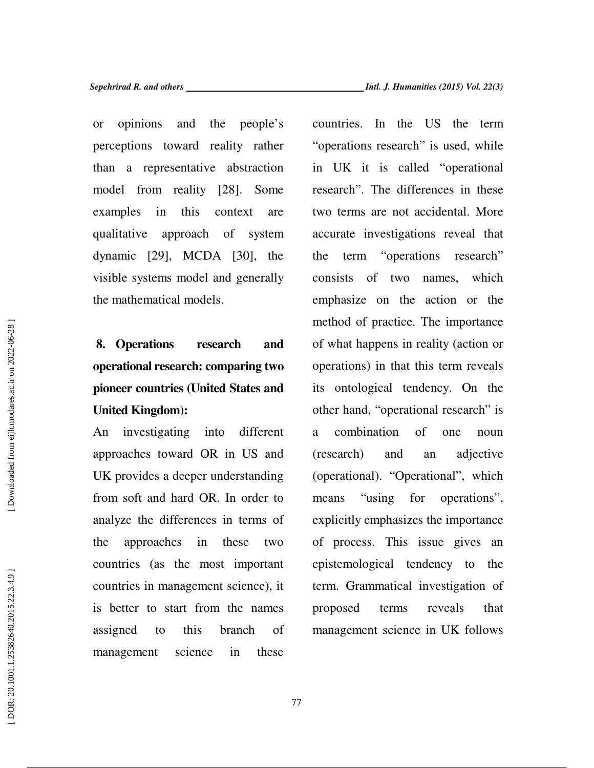or opinions and the people's perceptions toward reality rather than a representative abstraction model from reality [28]. Some examples in this context are qualitative approach of system dynamic [29], MCDA [30], the visible systems model and generally the mathematical models.

# **8. Operations research and operational research: comparing two pioneer countries (United States and United Kingdom):**

An investigating into different approaches toward OR in US and UK provides a deeper understanding from soft and hard OR. In order to analyze the differences in terms of the approaches in these two countries (as the most important countries in management science), it is better to start from the names assigned to this branch of management science in these

countries. In the US the term "operations research" is used, while in UK it is called "operational research". The differences in these two terms are not accidental. More accurate investigations reveal that the term "operations research" consists of two names, which emphasize on the action or the method of practice. The importance of what happens in reality (action or operations) in that this term reveals its ontological tendency. On the other hand, "operational research" is a combination of one noun (research) and an adjective (operational). "Operational", which means "using for operations", explicitly emphasizes the importance of process. This issue gives an epistemological tendency to the term. Grammatical investigation of proposed terms reveals that management science in UK follows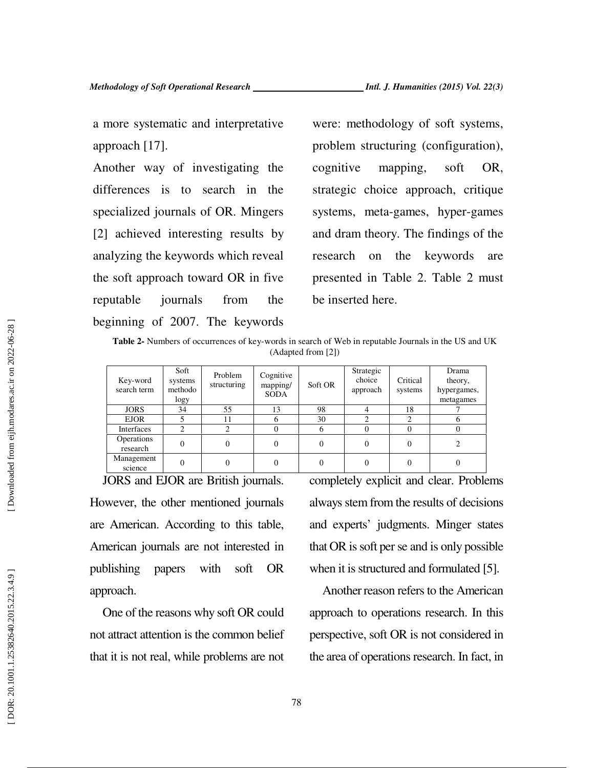a more systematic and interpretative approach [17].

Another way of investigating the differences is to search in the specialized journals of OR. Mingers [2] achieved interesting results by analyzing the keywords which reveal the soft approach toward OR in five reputable journals from the beginning of 2007. The keywords

were: methodology of soft systems, problem structuring (configuration), cognitive mapping, soft OR, strategic choice approach, critique systems, meta-games, hyper-games and dram theory. The findings of the research on the keywords are presented in Table 2. Table 2 must be inserted here.

**Table 2-** Numbers of occurrences of key-words in search of Web in reputable Journals in the US and UK (Adapted from [2])

| Key-word<br>search term       | Soft<br>systems<br>methodo<br>logy | Problem<br>structuring | Cognitive<br>mapping/<br><b>SODA</b> | Soft OR  | Strategic<br>choice<br>approach | Critical<br>systems | Drama<br>theory,<br>hypergames,<br>metagames |
|-------------------------------|------------------------------------|------------------------|--------------------------------------|----------|---------------------------------|---------------------|----------------------------------------------|
| <b>JORS</b>                   | 34                                 | 55                     | 13                                   | 98       |                                 | 18                  |                                              |
| <b>EJOR</b>                   |                                    | 11                     | h                                    | 30       |                                 |                     |                                              |
| Interfaces                    |                                    |                        |                                      |          |                                 |                     |                                              |
| <b>Operations</b><br>research |                                    | 0                      |                                      | $\Omega$ |                                 |                     |                                              |
| Management<br>science         |                                    |                        |                                      | $\Omega$ |                                 |                     |                                              |

JORS and EJOR are British journals. However, the other mentioned journals are American. According to this table, American journals are not interested in publishing papers with soft OR approach.

One of the reasons why soft OR could not attract attention is the common belief that it is not real, while problems are not completely explicit and clear. Problems always stem from the results of decisions and experts' judgments. Minger states that OR is soft per se and is only possible when it is structured and formulated [5].

Another reason refers to the American approach to operations research. In this perspective, soft OR is not considered in the area of operations research. In fact, in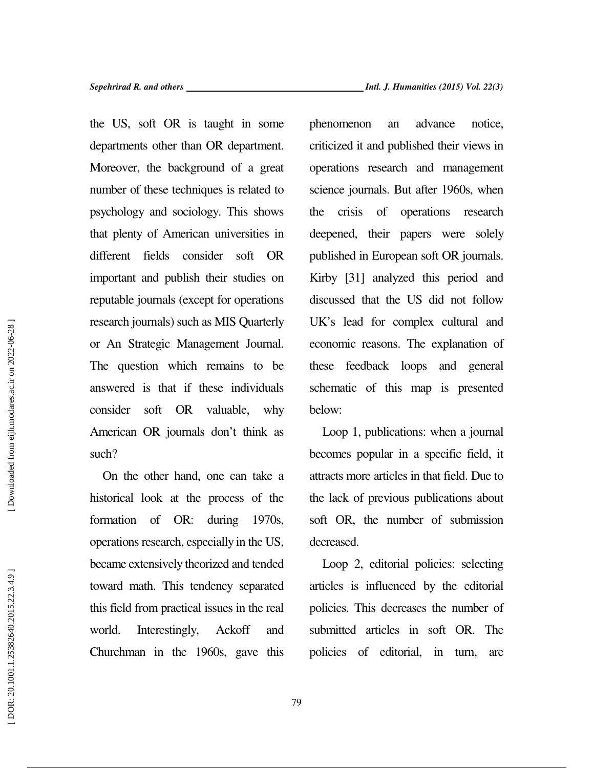*Sepehrirad R. and others Intl. J. Humanities (2015) Vol. 22(3)* 

the US, soft OR is taught in some departments other than OR department. Moreover, the background of a great number of these techniques is related to psychology and sociology. This shows that plenty of American universities in different fields consider soft OR important and publish their studies on reputable journals (except for operations research journals) such as MIS Quarterly or An Strategic Management Journal. The question which remains to be answered is that if these individuals consider soft OR valuable, why American OR journals don't think as such?

On the other hand, one can take a historical look at the process of the formation of OR: during 1970s, operations research, especially in the US, became extensively theorized and tended toward math. This tendency separated this field from practical issues in the real world. Interestingly, Ackoff and Churchman in the 1960s, gave this phenomenon an advance notice, criticized it and published their views in operations research and management science journals. But after 1960s, when the crisis of operations research deepened, their papers were solely published in European soft OR journals. Kirby [31] analyzed this period and discussed that the US did not follow UK's lead for complex cultural and economic reasons. The explanation of these feedback loops and general schematic of this map is presented below:

Loop 1, publications: when a journal becomes popular in a specific field, it attracts more articles in that field. Due to the lack of previous publications about soft OR, the number of submission decreased.

Loop 2, editorial policies: selecting articles is influenced by the editorial policies. This decreases the number of submitted articles in soft OR. The policies of editorial, in turn, are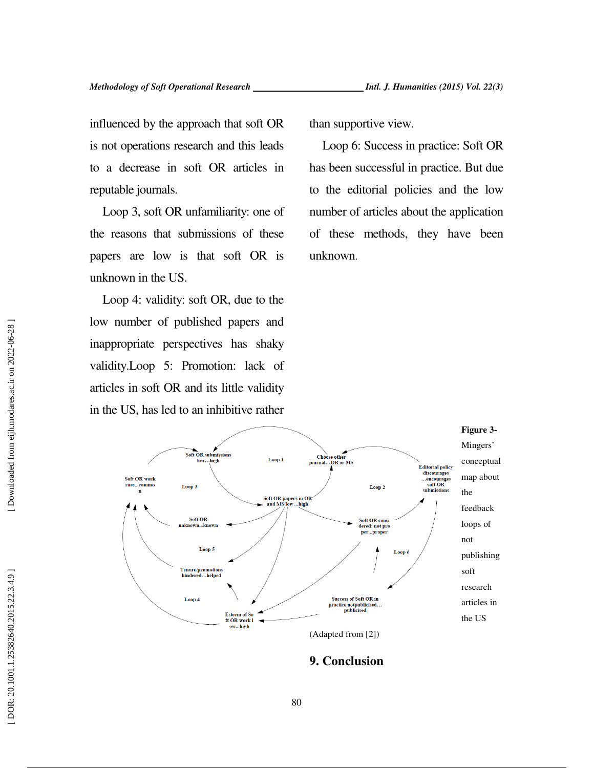influenced by the approach that soft OR is not operations research and this leads to a decrease in soft OR articles in reputable journals.

Loop 3, soft OR unfamiliarity: one of the reasons that submissions of these papers are low is that soft OR is unknown in the US.

Loop 4: validity: soft OR, due to the low number of published papers and inappropriate perspectives has shaky validity.Loop 5: Promotion: lack of articles in soft OR and its little validity in the US, has led to an inhibitive rather than supportive view.

Loop 6: Success in practice: Soft OR has been successful in practice. But due to the editorial policies and the low number of articles about the application of these methods, they have been unknown .



**9. Conclusion**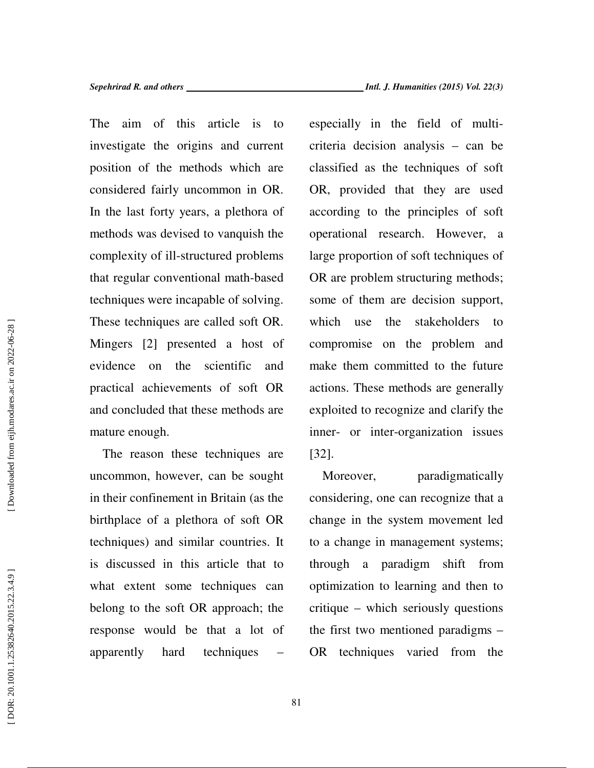The aim of this article is to investigate the origins and current position of the methods which are considered fairly uncommon in OR. In the last forty years, a plethora of methods was devised to vanquish the complexity of ill-structured problems that regular conventional math-based techniques were incapable of solving. These techniques are called soft OR. Mingers [2] presented a host of evidence on the scientific and practical achievements of soft OR and concluded that these methods are mature enough.

The reason these techniques are uncommon, however, can be sought in their confinement in Britain (as the birthplace of a plethora of soft OR techniques) and similar countries. It is discussed in this article that to what extent some techniques can belong to the soft OR approach; the response would be that a lot of apparently hard techniques – especially in the field of multicriteria decision analysis – can be classified as the techniques of soft OR, provided that they are used according to the principles of soft operational research. However, a large proportion of soft techniques of OR are problem structuring methods; some of them are decision support, which use the stakeholders to compromise on the problem and make them committed to the future actions. These methods are generally exploited to recognize and clarify the inner- or inter-organization issues [32].

Moreover, paradigmatically considering, one can recognize that a change in the system movement led to a change in management systems; through a paradigm shift from optimization to learning and then to critique – which seriously questions the first two mentioned paradigms – OR techniques varied from the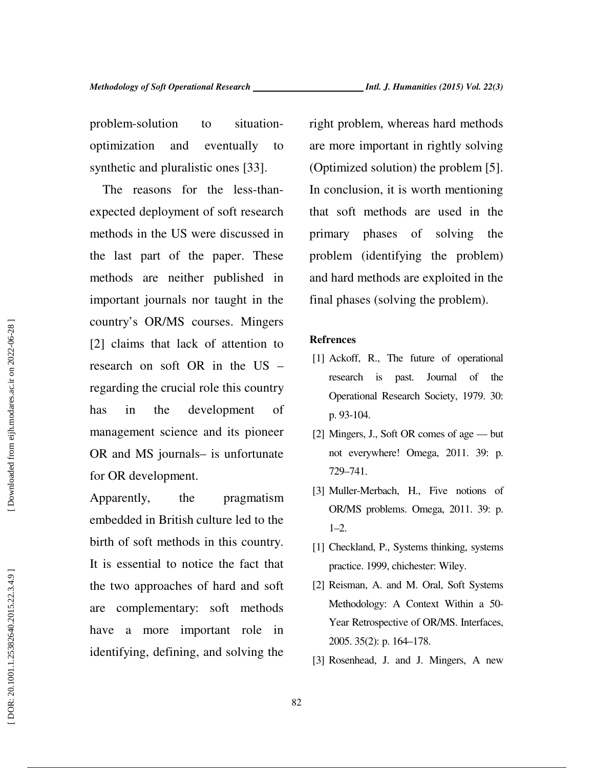problem-solution to situationoptimization and eventually to synthetic and pluralistic ones [33].

The reasons for the less-thanexpected deployment of soft research methods in the US were discussed in the last part of the paper. These methods are neither published in important journals nor taught in the country's OR/MS courses. Mingers [2] claims that lack of attention to research on soft OR in the US – regarding the crucial role this country has in the development of management science and its pioneer OR and MS journals– is unfortunate for OR development.

Apparently, the pragmatism embedded in British culture led to the birth of soft methods in this country. It is essential to notice the fact that the two approaches of hard and soft are complementary: soft methods have a more important role in identifying, defining, and solving the

right problem, whereas hard methods are more important in rightly solving (Optimized solution) the problem [5]. In conclusion, it is worth mentioning that soft methods are used in the primary phases of solving the problem (identifying the problem) and hard methods are exploited in the final phases (solving the problem).

#### **Refrences**

- [1] Ackoff, R., The future of operational research is past. Journal of the Operational Research Society, 1979. 30: p. 93-104.
- [2] Mingers, J., Soft OR comes of age but not everywhere! Omega, 2011. 39: p. 729–741.
- [3] Muller-Merbach, H., Five notions of OR/MS problems. Omega, 2011. 39: p.  $1-2.$
- [1] Checkland, P., Systems thinking, systems practice. 1999, chichester: Wiley.
- [2] Reisman, A. and M. Oral, Soft Systems Methodology: A Context Within a 50- Year Retrospective of OR/MS. Interfaces, 2005. 35(2): p. 164–178.
- [3] Rosenhead, J. and J. Mingers, A new

DOR: 20.1001.1.25382640.2015.22.3.4.9

82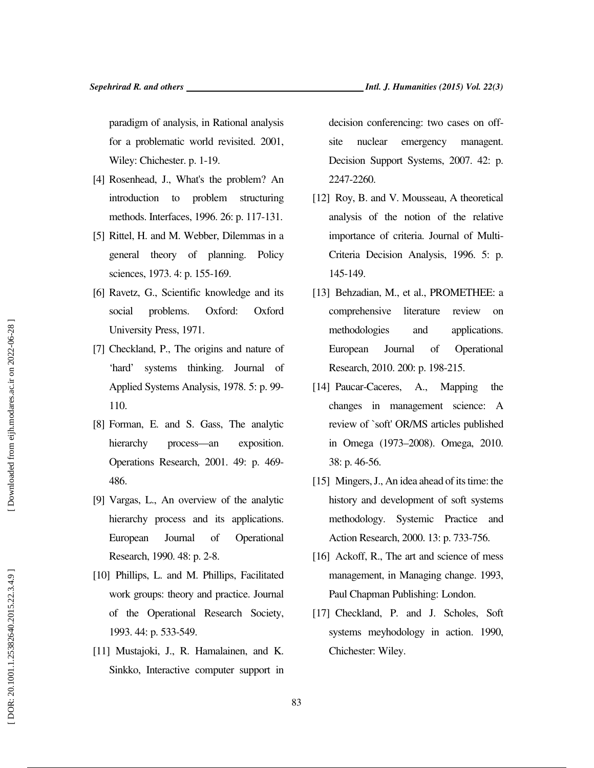paradigm of analysis, in Rational analysis for a problematic world revisited. 2001, Wiley: Chichester. p. 1-19.

- [4] Rosenhead, J., What's the problem? An introduction to problem structuring methods. Interfaces, 1996. 26: p. 117-131.
- [5] Rittel, H. and M. Webber, Dilemmas in a general theory of planning. Policy sciences, 1973. 4: p. 155-169.
- [6] Ravetz, G., Scientific knowledge and its social problems. Oxford: Oxford University Press, 1971.
- [7] Checkland, P., The origins and nature of 'hard' systems thinking. Journal of Applied Systems Analysis, 1978. 5: p. 99- 110.
- [8] Forman, E. and S. Gass, The analytic hierarchy process—an exposition. Operations Research, 2001. 49: p. 469- 486.
- [9] Vargas, L., An overview of the analytic hierarchy process and its applications. European Journal of Operational Research, 1990. 48: p. 2-8.
- [10] Phillips, L. and M. Phillips, Facilitated work groups: theory and practice. Journal of the Operational Research Society, 1993. 44: p. 533-549.
- [11] Mustajoki, J., R. Hamalainen, and K. Sinkko, Interactive computer support in

decision conferencing: two cases on offsite nuclear emergency managent. Decision Support Systems, 2007. 42: p. 2247-2260.

- [12] Roy, B. and V. Mousseau, A theoretical analysis of the notion of the relative importance of criteria. Journal of Multi-Criteria Decision Analysis, 1996. 5: p. 145-149.
- [13] Behzadian, M., et al., PROMETHEE: a comprehensive literature review on methodologies and applications. European Journal of Operational Research, 2010. 200: p. 198-215.
- [14] Paucar-Caceres, A., Mapping the changes in management science: A review of `soft' OR/MS articles published in Omega (1973–2008). Omega, 2010. 38: p. 46-56.
- [15] Mingers, J., An idea ahead of its time: the history and development of soft systems methodology. Systemic Practice and Action Research, 2000. 13: p. 733-756.
- [16] Ackoff, R., The art and science of mess management, in Managing change. 1993, Paul Chapman Publishing: London.
- [17] Checkland, P. and J. Scholes, Soft systems meyhodology in action. 1990, Chichester: Wiley.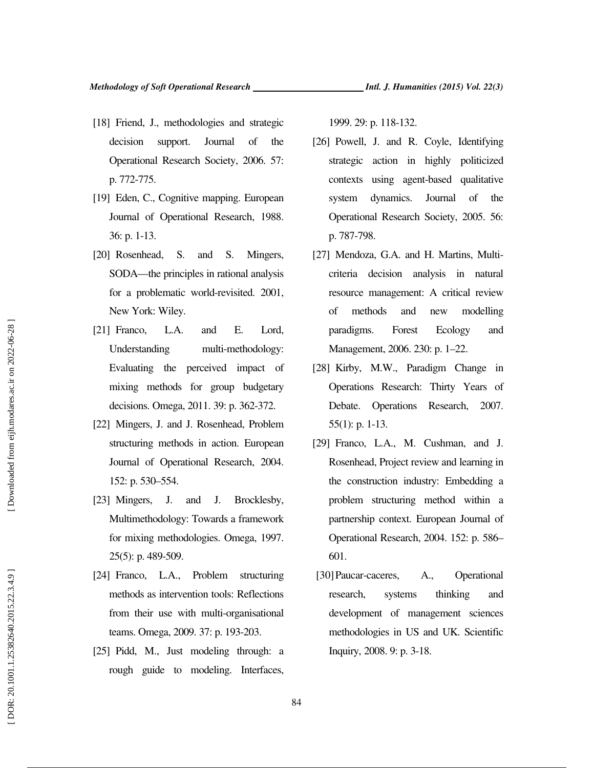- [18] Friend, J., methodologies and strategic decision support. Journal of the Operational Research Society, 2006. 57: p. 772-775.
- [19] Eden, C., Cognitive mapping. European Journal of Operational Research, 1988. 36: p. 1-13.
- [20] Rosenhead, S. and S. Mingers, SODA—the principles in rational analysis for a problematic world-revisited. 2001, New York: Wiley.
- [21] Franco, L.A. and E. Lord, Understanding multi-methodology: Evaluating the perceived impact of mixing methods for group budgetary decisions. Omega, 2011. 39: p. 362-372.
- [22] Mingers, J. and J. Rosenhead, Problem structuring methods in action. European Journal of Operational Research, 2004. 152: p. 530–554.
- [23] Mingers, J. and J. Brocklesby, Multimethodology: Towards a framework for mixing methodologies. Omega, 1997. 25(5): p. 489-509.
- [24] Franco, L.A., Problem structuring methods as intervention tools: Reflections from their use with multi-organisational teams. Omega, 2009. 37: p. 193-203.
- [25] Pidd, M., Just modeling through: a rough guide to modeling. Interfaces,

1999. 29: p. 118-132.

- [26] Powell, J. and R. Coyle, Identifying strategic action in highly politicized contexts using agent-based qualitative system dynamics. Journal of the Operational Research Society, 2005. 56: p. 787-798.
- [27] Mendoza, G.A. and H. Martins, Multicriteria decision analysis in natural resource management: A critical review of methods and new modelling paradigms. Forest Ecology and Management, 2006. 230: p. 1–22.
- [28] Kirby, M.W., Paradigm Change in Operations Research: Thirty Years of Debate. Operations Research, 2007. 55(1): p. 1-13.
- [29] Franco, L.A., M. Cushman, and J. Rosenhead, Project review and learning in the construction industry: Embedding a problem structuring method within a partnership context. European Journal of Operational Research, 2004. 152: p. 586– 601.
- [30]Paucar-caceres, A., Operational research, systems thinking and development of management sciences methodologies in US and UK. Scientific Inquiry, 2008. 9: p. 3-18.